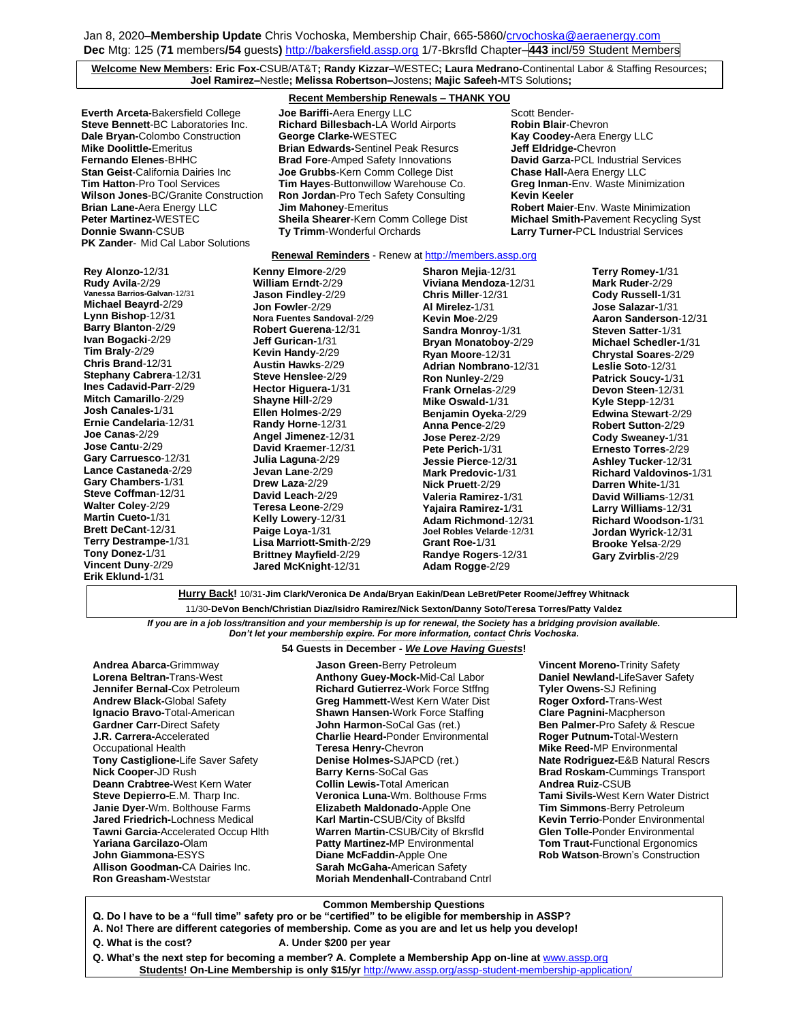## **Welcome New Members: Eric Fox-**CSUB/AT&T**; Randy Kizzar–**WESTEC**; Laura Medrano-**Continental Labor & Staffing Resources**; Joel Ramirez–**Nestle**; Melissa Robertson–**Jostens**; Majic Safeeh-**MTS Solutions**;**

**Recent Membership Renewals – THANK YOU**

**Everth Arceta-Bakersfield College <b>Joe Bariffi-**Aera Energy LLC **Scott Bender-** Scott Bender-**PK Zander**- Mid Cal Labor Solutions

**Steve Bennett**-BC Laboratories Inc. **Richard Billesbach-**LA World Airports **Robin Blair**-Chevron **Dale Bryan-**Colombo Construction **George Clarke-**WESTEC **Kay Coodey-Aera Energy LLC**<br> **Mike Doolittle-**Emeritus **Brian Edwards-**Sentinel Peak Resurcs Jeff Eldridge-Chevron **Mike Doolittle-**Emeritus **Brian Edwards-**Sentinel Peak Resurcs **Jeff Eldridge-**Chevron **Brad Fore-Amped Safety Innovations Stan Geist**-California Dairies Inc **Joe Grubbs**-Kern Comm College Dist **Chase Hall-**Aera Energy LLC **Tim Hatton**-Pro Tool Services **Tim Hayes**-Buttonwillow Warehouse Co.<br>**Wilson Jones**-BC/Granite Construction **Ron Jordan**-Pro Tech Safety Consulting **Ron Jordan-Pro Tech Safety Consulting Kevin Keeler Brian Lane-**Aera Energy LLC **Jim Mahoney**-Emeritus **Robert Maier**-Env. Waste Minimization **Donnie Swann**-CSUB **Ty Trimm**-Wonderful Orchards **Larry Turner-**PCL Industrial Services

**Peter Martinez-**WESTEC **Sheila Shearer**-Kern Comm College Dist **Michael Smith-**Pavement Recycling Syst

### **Renewal Reminders** - Renew a[t http://members.assp.org](http://members.assp.org/)

**Rey Alonzo-**12/31 **Rudy Avila**-2/29 **Vanessa Barrios-Galvan**-12/31 **Michael Beayrd**-2/29 **Lynn Bishop**-12/31 **Barry Blanton**-2/29 **Ivan Bogacki**-2/29 **Tim Braly**-2/29 **Chris Brand**-12/31 **Stephany Cabrera**-12/31 **Ines Cadavid-Parr**-2/29 **Mitch Camarillo**-2/29 **Josh Canales-**1/31 **Ernie Candelaria**-12/31 **Joe Canas**-2/29 **Jose Cantu**-2/29 **Gary Carruesco**-12/31 **Lance Castaneda**-2/29 **Gary Chambers-**1/31 **Steve Coffman**-12/31 **Walter Coley**-2/29 **Martin Cueto-**1/31 **Brett DeCant**-12/31 **Terry Destrampe-**1/31 **Tony Donez-**1/31 **Vincent Duny**-2/29 **Erik Eklund-**1/31

**Kenny Elmore**-2/29 **William Erndt**-2/29 **Jason Findley**-2/29 **Jon Fowler**-2/29 **Nora Fuentes Sandoval**-2/29 **Robert Guerena**-12/31 **Jeff Gurican-**1/31 **Kevin Handy**-2/29 **Austin Hawks**-2/29 **Steve Henslee**-2/29 **Hector Higuera-**1/31 **Shayne Hill**-2/29 **Ellen Holmes**-2/29 **Randy Horne**-12/31 **Angel Jimenez**-12/31 **David Kraemer**-12/31 **Julia Laguna**-2/29 **Jevan Lane**-2/29 **Drew Laza**-2/29 **David Leach**-2/29 **Teresa Leone**-2/29 **Kelly Lowery**-12/31 **Paige Loya-**1/31 **Lisa Marriott-Smith**-2/29 **Brittney Mayfield**-2/29 **Jared McKnight**-12/31

**Sharon Mejia**-12/31 **Viviana Mendoza**-12/31 **Chris Miller**-12/31 **Al Mirelez-**1/31 **Kevin Moe**-2/29 **Sandra Monroy-**1/31 **Bryan Monatoboy**-2/29 **Ryan Moore**-12/31 **Adrian Nombrano**-12/31 **Ron Nunley**-2/29 **Frank Ornelas**-2/29 **Mike Oswald-**1/31 **Benjamin Oyeka**-2/29 **Anna Pence**-2/29 **Jose Perez**-2/29 **Pete Perich-**1/31 **Jessie Pierce**-12/31 **Mark Predovic-**1/31 **Nick Pruett**-2/29 **Valeria Ramirez-**1/31 **Yajaira Ramirez-**1/31 **Adam Richmond**-12/31 **Joel Robles Velarde**-12/31 **Grant Roe-**1/31 **Randye Rogers**-12/31 **Adam Rogge**-2/29

**Terry Romey-**1/31 **Mark Ruder**-2/29 **Cody Russell-**1/31 **Jose Salazar-**1/31 **Aaron Sanderson**-12/31 **Steven Satter-**1/31 **Michael Schedler-**1/31 **Chrystal Soares**-2/29 **Leslie Soto**-12/31 **Patrick Soucy-**1/31 **Devon Steen**-12/31 **Kyle Stepp**-12/31 **Edwina Stewart**-2/29 **Robert Sutton**-2/29 **Cody Sweaney-**1/31 **Ernesto Torres**-2/29 **Ashley Tucker**-12/31 **Richard Valdovinos-**1/31 **Darren White-**1/31 **David Williams**-12/31 **Larry Williams**-12/31 **Richard Woodson-**1/31 **Jordan Wyrick**-12/31 **Brooke Yelsa**-2/29 **Gary Zvirblis**-2/29

**Hurry Back!** 10/31-**Jim Clark/Veronica De Anda/Bryan Eakin/Dean LeBret/Peter Roome/Jeffrey Whitnack**

11/30-**DeVon Bench/Christian Diaz/Isidro Ramirez/Nick Sexton/Danny Soto/Teresa Torres/Patty Valdez**

*If you are in a job loss/transition and your membership is up for renewal, the Society has a bridging provision available. Don't let your membership expire. For more information, contact Chris Vochoska.* 

#### **------------------------------------------------------------------------------------------------------------------------------------------------------------- 54 Guests in December -** *We Love Having Guests***!**

**Andrea Abarca-**Grimmway **Lorena Beltran-**Trans-West **Jennifer Bernal-**Cox Petroleum **Andrew Black-**Global Safety **Ignacio Bravo-**Total-American **Gardner Carr-**Direct Safety **J.R. Carrera-**Accelerated Occupational Health **Tony Castiglione-**Life Saver Safety **Nick Cooper-**JD Rush **Deann Crabtree-**West Kern Water **Steve Depierro-**E.M. Tharp Inc. **Janie Dyer-**Wm. Bolthouse Farms **Jared Friedrich-**Lochness Medical **Tawni Garcia-**Accelerated Occup Hlth **Yariana Garcilazo-**Olam **John Giammona-**ESYS **Allison Goodman-**CA Dairies Inc. **Ron Greasham-**Weststar

**Jason Green-**Berry Petroleum **Anthony Guey-Mock-**Mid-Cal Labor **Richard Gutierrez-**Work Force Stffng **Greg Hammett-**West Kern Water Dist **Shawn Hansen-**Work Force Staffing **John Harmon-**SoCal Gas (ret.) **Charlie Heard-**Ponder Environmental **Teresa Henry-**Chevron **Denise Holmes-**SJAPCD (ret.) **Barry Kerns**-SoCal Gas **Collin Lewis-**Total American **Veronica Luna-**Wm. Bolthouse Frms **Elizabeth Maldonado-**Apple One **Karl Martin-**CSUB/City of Bkslfd **Warren Martin-**CSUB/City of Bkrsfld **Patty Martinez-**MP Environmental **Diane McFaddin-**Apple One **Sarah McGaha-**American Safety **Moriah Mendenhall-**Contraband Cntrl **Vincent Moreno-**Trinity Safety **Daniel Newland-**LifeSaver Safety **Tyler Owens-**SJ Refining **Roger Oxford-**Trans-West **Clare Pagnini-**Macpherson **Ben Palmer-**Pro Safety & Rescue **Roger Putnum-**Total-Western **Mike Reed-**MP Environmental **Nate Rodriguez-**E&B Natural Rescrs **Brad Roskam-**Cummings Transport **Andrea Ruiz**-CSUB **Tami Sivils-**West Kern Water District **Tim Simmons**-Berry Petroleum **Kevin Terrio**-Ponder Environmental **Glen Tolle-**Ponder Environmental **Tom Traut-**Functional Ergonomics **Rob Watson**-Brown's Construction

**Common Membership Questions**

- **Q. Do I have to be a "full time" safety pro or be "certified" to be eligible for membership in ASSP?**
- **A. No! There are different categories of membership. Come as you are and let us help you develop!**
- 
- **Q. What is the cost? A. Under \$200 per year**

Q. What's the next step for becoming a member? A. Complete a Membership App on-line at **[www.assp.org](http://www.assp.org/) Students! On-Line Membership is only \$15/yr** <http://www.assp.org/assp-student-membership-application/>